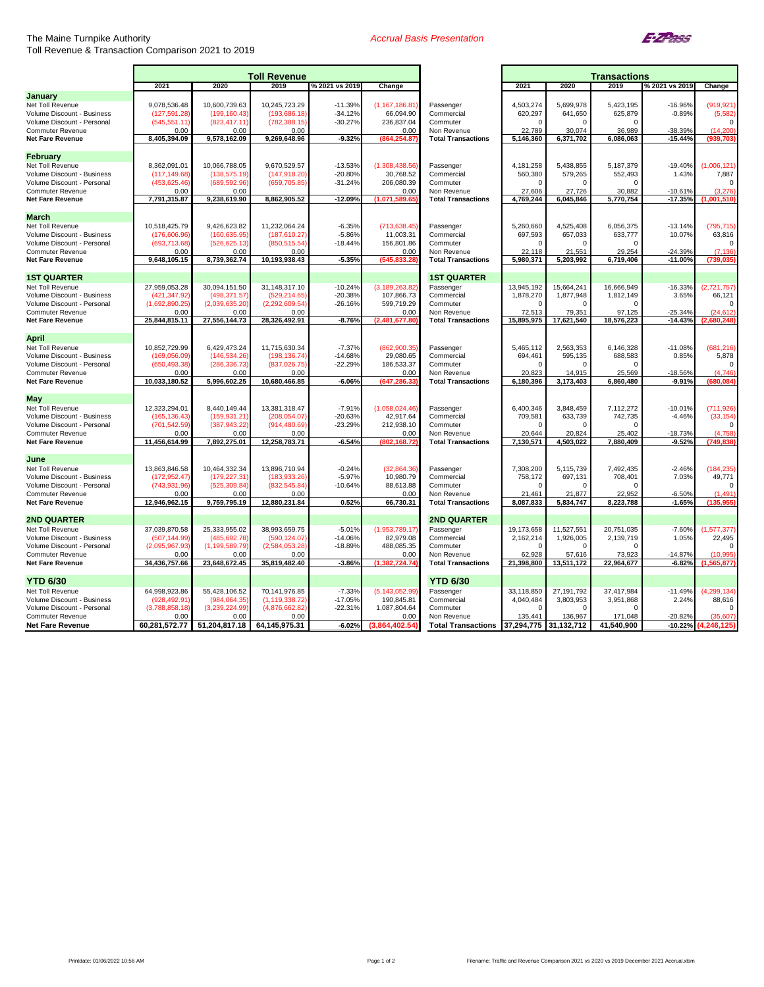## The Maine Turnpike Authority Toll Revenue & Transaction Comparison 2021 to 2019

## *Accrual Basis Presentation*



|                                                       | <b>Toll Revenue</b>   |                       |                       |                |                           |                                          | <b>Transactions</b>  |                      |                      |                        |                         |
|-------------------------------------------------------|-----------------------|-----------------------|-----------------------|----------------|---------------------------|------------------------------------------|----------------------|----------------------|----------------------|------------------------|-------------------------|
|                                                       | 2021                  | 2020                  | 2019                  | % 2021 vs 2019 | Change                    |                                          | 2021                 | 2020                 | 2019                 | % 2021 vs 2019         | Change                  |
| January                                               |                       |                       |                       |                |                           |                                          |                      |                      |                      |                        |                         |
| Net Toll Revenue                                      | 9,078,536.48          | 10,600,739.63         | 10,245,723.29         | $-11.39%$      | (1, 167, 186.81)          | Passenger                                | 4,503,274            | 5,699,978            | 5,423,195            | $-16.96%$              | (919, 921)              |
| Volume Discount - Business                            | (127, 591.28)         | (199, 160.43)         | (193,686.18)          | $-34.12%$      | 66,094.90                 | Commercial                               | 620,297              | 641,650              | 625,879              | $-0.89%$               | (5, 582)                |
| Volume Discount - Personal<br><b>Commuter Revenue</b> | (545,551.11<br>0.00   | (823,417.11<br>0.00   | (782,388.15)<br>0.00  | $-30.27%$      | 236,837.04<br>0.00        | Commuter<br>Non Revenue                  | $\Omega$<br>22,789   | $\Omega$<br>30,074   | 36,989               | -38.39%                | $\Omega$<br>(14, 200)   |
| Net Fare Revenue                                      | 8,405,394.09          | 9,578,162.09          | 9,269,648.96          | $-9.32%$       | (864,254.87               | <b>Total Transactions</b>                | 5,146,360            | 6,371,702            | 6,086,063            | $-15.44%$              | (939,703                |
|                                                       |                       |                       |                       |                |                           |                                          |                      |                      |                      |                        |                         |
| February                                              |                       |                       |                       |                |                           |                                          |                      |                      |                      |                        |                         |
| Net Toll Revenue                                      | 8,362,091.01          | 10,066,788.05         | 9,670,529.57          | $-13.53%$      | (1,308,438.56)            | Passenger                                | 4,181,258            | 5,438,855            | 5,187,379            | $-19.40%$              | (1,006,121)             |
| Volume Discount - Business                            | (117, 149.68)         | (138, 575.19)         | (147,918.20)          | $-20.80%$      | 30,768.52                 | Commercial                               | 560,380              | 579,265              | 552,493              | 1.43%                  | 7,887                   |
| Volume Discount - Personal                            | (453,625.46           | (689, 592.96)         | (659, 705.85)         | $-31.24%$      | 206,080.39                | Commuter                                 |                      | $\Omega$             | $\Omega$             |                        | $\Omega$                |
| <b>Commuter Revenue</b><br><b>Net Fare Revenue</b>    | 0.00<br>7,791,315.87  | 0.00<br>9,238,619.90  | 8,862,905.52          | $-12.09%$      | 0.00<br>(1,071,589.65)    | Non Revenue<br><b>Total Transactions</b> | 27,606<br>4,769,244  | 27,726<br>6,045,846  | 30,882<br>5,770,754  | $-10.61%$<br>$-17.35%$ | (3,276)<br>(1,001,510)  |
|                                                       |                       |                       |                       |                |                           |                                          |                      |                      |                      |                        |                         |
| March                                                 |                       |                       |                       |                |                           |                                          |                      |                      |                      |                        |                         |
| Net Toll Revenue                                      | 10,518,425.79         | 9,426,623.82          | 11,232,064.24         | $-6.35%$       | (713,638.45               | Passenger                                | 5,260,660            | 4,525,408            | 6,056,375            | $-13.14%$              | (795,715                |
| Volume Discount - Business                            | (176,606.96)          | (160, 635.95)         | (187, 610.27)         | $-5.86%$       | 11,003.31                 | Commercial                               | 697,593              | 657,033              | 633,777              | 10.07%                 | 63,816                  |
| Volume Discount - Personal                            | (693,713.68           | (526, 625.13)         | (850,515.54           | $-18.44%$      | 156,801.86                | Commuter                                 | $\Omega$             | $\Omega$             | $\Omega$             |                        | $\Omega$                |
| <b>Commuter Revenue</b><br>Net Fare Revenue           | 0.00<br>9,648,105.15  | 0.00<br>8,739,362.74  | 0.00<br>10,193,938.43 | $-5.35%$       | 0.00<br>(545,833.28       | Non Revenue<br><b>Total Transactions</b> | 22.118<br>5,980,371  | 21.551<br>5,203,992  | 29.254<br>6,719,406  | $-24.39%$<br>$-11.00%$ | (7.136)<br>(739,035     |
|                                                       |                       |                       |                       |                |                           |                                          |                      |                      |                      |                        |                         |
| <b>1ST QUARTER</b>                                    |                       |                       |                       |                |                           | <b>1ST QUARTER</b>                       |                      |                      |                      |                        |                         |
| Net Toll Revenue                                      | 27,959,053.28         | 30,094,151.50         | 31,148,317.10         | $-10.24%$      | (3, 189, 263, 82)         | Passenger                                | 13,945,192           | 15,664,241           | 16,666,949           | $-16.33%$              | (2,721,757)             |
| Volume Discount - Business                            | (421,347.92           | (498,371.57)          | (529, 214.65)         | $-20.38%$      | 107,866.73                | Commercial                               | 1,878,270            | 1,877,948            | 1,812,149            | 3.65%                  | 66,121                  |
| Volume Discount - Personal                            | (1,692,890.25)        | (2,039,635.20)        | (2,292,609.54)        | $-26.16%$      | 599,719.29                | Commuter                                 |                      | $\Omega$             | $\Omega$             |                        |                         |
| <b>Commuter Revenue</b><br>Net Fare Revenue           | 0.00<br>25,844,815.11 | 0.00<br>27,556,144.73 | 0.00<br>28,326,492.91 | $-8.76%$       | 0.00<br>(2,481,677.80)    | Non Revenue<br><b>Total Transactions</b> | 72,513<br>15,895,975 | 79,351<br>17,621,540 | 97,125<br>18,576,223 | $-25.34%$<br>$-14.43%$ | (24, 612)<br>(2.680.248 |
|                                                       |                       |                       |                       |                |                           |                                          |                      |                      |                      |                        |                         |
| <b>April</b>                                          |                       |                       |                       |                |                           |                                          |                      |                      |                      |                        |                         |
| Net Toll Revenue                                      | 10,852,729.99         | 6,429,473.24          | 11,715,630.34         | $-7.37%$       | (862,900.35               | Passenger                                | 5,465,112            | 2,563,353            | 6,146,328            | $-11.08%$              | (681, 216)              |
| Volume Discount - Business                            | (169,056.09)          | (146, 534.26)         | (198, 136.74)         | $-14.68%$      | 29,080.65                 | Commercial                               | 694,461              | 595,135              | 688,583              | 0.85%                  | 5,878                   |
| Volume Discount - Personal                            | (650,493.38           | (286,336.73           | (837,026.75           | $-22.29%$      | 186,533.37                | Commuter                                 |                      | $\Omega$             |                      |                        |                         |
| <b>Commuter Revenue</b>                               | 0.00<br>10,033,180.52 | 0.00<br>5,996,602.25  | 0.00<br>10,680,466.85 | $-6.06%$       | 0.00<br>(647.286.33       | Non Revenue                              | 20,823               | 14,915<br>3,173,403  | 25,569               | $-18.56%$<br>$-9.91%$  | (4,746)<br>(680.084     |
| <b>Net Fare Revenue</b>                               |                       |                       |                       |                |                           | <b>Total Transactions</b>                | 6,180,396            |                      | 6,860,480            |                        |                         |
| May                                                   |                       |                       |                       |                |                           |                                          |                      |                      |                      |                        |                         |
| Net Toll Revenue                                      | 12,323,294.01         | 8,440,149.44          | 13,381,318.47         | $-7.91%$       | (1,058,024.46)            | Passenger                                | 6,400,346            | 3,848,459            | 7,112,272            | $-10.01%$              | (711, 926)              |
| Volume Discount - Business                            | (165,136.43           | (159, 931.21)         | (208,054.07           | $-20.63%$      | 42,917.64                 | Commercial                               | 709,581              | 633,739              | 742,735              | $-4.46%$               | (33, 154)               |
| Volume Discount - Personal                            | (701,542.59           | (387,943.22)          | (914, 480.69)         | $-23.29%$      | 212,938.10                | Commuter                                 |                      | $\Omega$             | $\Omega$             |                        | $\Omega$                |
| <b>Commuter Revenue</b><br><b>Net Fare Revenue</b>    | 0.00<br>11,456,614.99 | 0.00<br>7,892,275.01  | 0.00<br>12,258,783.71 | $-6.54%$       | 0.00<br>(802.168.72       | Non Revenue                              | 20,644<br>7,130,571  | 20,824<br>4,503,022  | 25,402<br>7,880,409  | $-18.73%$<br>$-9.52%$  | (4,758)<br>(749.838     |
|                                                       |                       |                       |                       |                |                           | <b>Total Transactions</b>                |                      |                      |                      |                        |                         |
| June                                                  |                       |                       |                       |                |                           |                                          |                      |                      |                      |                        |                         |
| Net Toll Revenue                                      | 13,863,846.58         | 10,464,332.34         | 13,896,710.94         | $-0.24%$       | (32,864.36)               | Passenger                                | 7,308,200            | 5,115,739            | 7,492,435            | $-2.46%$               | (184, 235)              |
| Volume Discount - Business                            | (172,952.47           | (179,227.31           | (183,933.26)          | $-5.97%$       | 10,980.79                 | Commercial                               | 758,172              | 697,131              | 708,401              | 7.03%                  | 49,771                  |
| Volume Discount - Personal                            | (743,931.96)          | (525,309.84           | (832,545.84)          | $-10.64%$      | 88,613.88                 | Commuter                                 | $\Omega$             | $\Omega$             |                      |                        |                         |
| <b>Commuter Revenue</b><br><b>Net Fare Revenue</b>    | 0.00<br>12,946,962.15 | 0.00<br>9,759,795.19  | 0.00<br>12,880,231.84 | 0.52%          | 0.00<br>66,730.31         | Non Revenue<br><b>Total Transactions</b> | 21,461<br>8,087,833  | 21,877<br>5,834,747  | 22,952<br>8,223,788  | $-6.50%$<br>$-1.65%$   | (1, 491)<br>(135.955    |
|                                                       |                       |                       |                       |                |                           |                                          |                      |                      |                      |                        |                         |
| <b>2ND QUARTER</b>                                    |                       |                       |                       |                |                           | <b>2ND QUARTER</b>                       |                      |                      |                      |                        |                         |
| Net Toll Revenue                                      | 37,039,870.58         | 25,333,955.02         | 38,993,659.75         | $-5.01%$       | (1,953,789.17)            | Passenger                                | 19,173,658           | 11,527,551           | 20,751,035           | $-7.60%$               | (1, 577, 377)           |
| Volume Discount - Business                            | (507,144.99)          | (485,692.78)          | (590, 124.07)         | $-14.06%$      | 82,979.08                 | Commercial                               | 2,162,214            | 1,926,005            | 2,139,719            | 1.05%                  | 22,495                  |
| Volume Discount - Personal                            | (2,095,967.93         | (1, 199, 589.79)      | (2,584,053.28)        | $-18.89%$      | 488,085.35                | Commuter                                 |                      | $\Omega$             | $\Omega$             |                        | $\Omega$                |
| <b>Commuter Revenue</b><br>Net Fare Revenue           | 0.00<br>34,436,757.66 | 0.00<br>23,648,672.45 | 0.00<br>35,819,482.40 | $-3.86%$       | 0.00<br>(1.382)<br>724.74 | Non Revenue<br><b>Total Transactions</b> | 62.928<br>21,398,800 | 57.616<br>13,511,172 | 73.923<br>22,964,677 | $-14.87%$<br>$-6.82%$  | (10.995<br>(1.565.877   |
|                                                       |                       |                       |                       |                |                           |                                          |                      |                      |                      |                        |                         |
| <b>YTD 6/30</b>                                       |                       |                       |                       |                |                           | <b>YTD 6/30</b>                          |                      |                      |                      |                        |                         |
| Net Toll Revenue                                      | 64,998,923.86         | 55,428,106.52         | 70,141,976.85         | $-7.33%$       | (5, 143, 052.99)          | Passenger                                | 33,118,850           | 27,191,792           | 37,417,984           | $-11.49%$              | (4, 299, 134)           |
| Volume Discount - Business                            | (928.492.91           | (984,064.35)          | (1, 119, 338.72)      | $-17.05%$      | 190,845.81                | Commercial                               | 4,040,484            | 3,803,953            | 3,951,868            | 2.24%                  | 88,616                  |
| Volume Discount - Personal                            | (3,788,858.18)        | (3,239,224.99         | (4.876.662.82)        | $-22.31%$      | 1,087,804.64              | Commuter                                 |                      | n                    |                      |                        | $\Omega$                |
| <b>Commuter Revenue</b>                               | 0.00                  | 0.00                  | 0.00                  |                | 0.00                      | Non Revenue                              | 135,441              | 136,967              | 171.048              | $-20.82%$              | (35.607)                |
| <b>Net Fare Revenue</b>                               | 60,281,572.77         | 51,204,817.18         | 64.145.975.31         | $-6.02%$       | (3.864.402.54)            | Total Transactions 37,294,775            |                      | 31,132,712           | 41.540.900           | $-10.22%$              | (4.246.125)             |